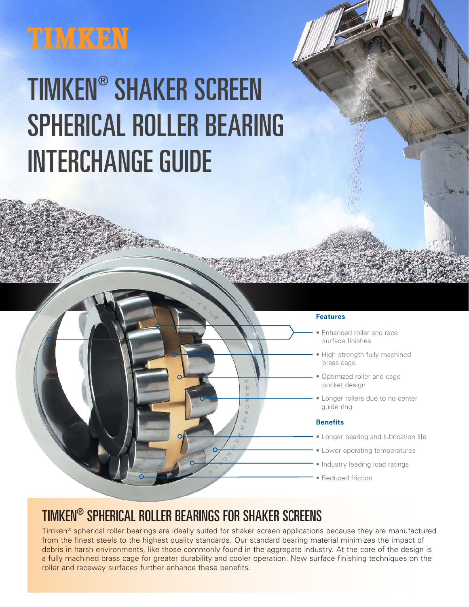## **TIMKEN**

# TIMKEN® SHAKER SCREEN SPHERICAL ROLLER BEARING INTERCHANGE GUIDE

#### **Features**

- Enhanced roller and race surface finishes
- High-strength fully machined brass cage
- Optimized roller and cage pocket design
- Longer rollers due to no center guide ring

#### **Benefits**

- Longer bearing and lubrication life
- Lower operating temperatures
- Industry leading load ratings
- **Reduced friction**

### TIMKEN® SPHERICAL ROLLER BEARINGS FOR SHAKER SCREENS

Timken® spherical roller bearings are ideally suited for shaker screen applications because they are manufactured from the finest steels to the highest quality standards. Our standard bearing material minimizes the impact of debris in harsh environments, like those commonly found in the aggregate industry. At the core of the design is a fully machined brass cage for greater durability and cooler operation. New surface finishing techniques on the roller and raceway surfaces further enhance these benefits.

m m